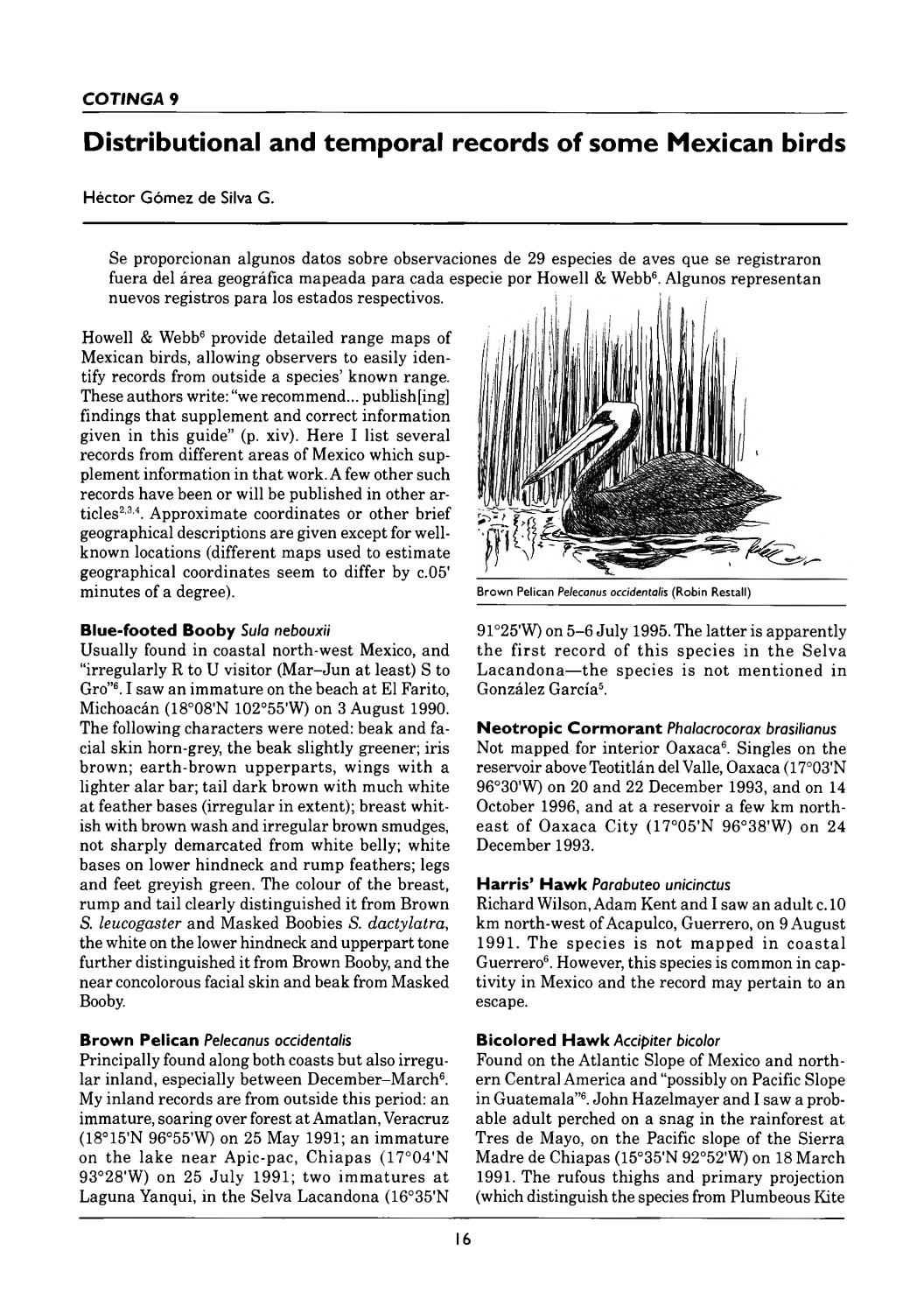# Distributional and temporal records of some Mexican birds

Héctor Gómez de Silva G.

Se proporcionan algunos datos sobre observaciones de 29 especies de aves que se registraron fuera del área geográfica mapeada para cada especie por Howell & Webb<sup>6</sup>. Algunos representan nuevos registros para los estados respectivos.

Howell & Webb<sup>6</sup> provide detailed range maps of Mexican birds, allowing observers to easily identify records from outside a species' known range. These authors write: "we recommend... publish[ing] findings that supplement and correct information given in this guide" (p. xiv). Here I list several records from different areas of Mexico which supplement information in that work. A few other such records have been or will be published in other articles<sup>2,3,4</sup>. Approximate coordinates or other brief geographical descriptions are given except for wellknown locations (different maps used to estimate geographical coordinates seem to differ by c.05' minutes of a degree). **Brown Pelican** *Pelecanus occidentalis* (Robin Restall)

#### **Blue-footed Booby** Sula nebouxii

Usually found in coastal north-west Mexico, and "irregularly R to U visitor (Mar-Jun at least) S to Gro"<sup>6</sup>. I saw an immature on the beach at El Farito, Michoacán (18°08'N 102°55'W) on 3 August 1990. The following characters were noted: beak and facial skin horn-grey, the beak slightly greener; iris brown; earth-brown upperparts, wings with a lighter alar bar; tail dark brown with much white at feather bases (irregular in extent); breast whitish with brown wash and irregular brown smudges, not sharply demarcated from white belly; white bases on lower hindneck and rump feathers; legs and feet greyish green. The colour of the breast, rump and tail clearly distinguished it from Brown *S. leucogaster* and M asked Boobies *S. dactylatra*, the white on the lower hindneck and upperpart tone further distinguished it from Brown Booby, and the near concolorous facial skin and beak from Masked Booby.

#### **Brown Pelican Pelecanus occidentalis**

Principally found along both coasts but also irregular inland, especially between December-March<sup>6</sup>. My inland records are from outside this period: an immature, soaring over forest at Amatlan, Veracruz ( $18^{\circ}15'$ N 96°55'W) on 25 May 1991; an immature on the lake near Apic-pac, Chiapas (17°04'N  $93°28'W$ ) on 25 July 1991; two immatures at Laguna Yanqui, in the Selva Lacandona (16°35'N



91°25'W) on 5–6 July 1995. The latter is apparently the first record of this species in the Selva Lacandona—the species is not mentioned in González Garcia5.

#### **Neotropic Cormorant Phalacrocorax brasilianus**

Not mapped for interior  $Oaxaca^6$ . Singles on the reservoir above Teotitlán del Valle, Oaxaca (17°03'N 96°30'W) on 20 and 22 December 1993, and on 14 October 1996, and at a reservoir a few km northeast of Oaxaca City (17°05'N 96°38'W) on 24 December 1993.

#### **Harris' Hawk** Parabuteo unicinctus

Richard Wilson, Adam Kent and I saw an adult c. 10 km north-west of Acapulco, Guerrero, on 9 August 1991. The species is not mapped in coastal Guerrero<sup>6</sup>. However, this species is common in captivity in Mexico and the record may pertain to an escape.

#### **B ico lo red H aw k** *Accipiter bicolor*

Found on the Atlantic Slope of Mexico and northern Central America and "possibly on Pacific Slope in Guatemala"6. John Hazelmayer and I saw a probable adult perched on a snag in the rainforest at Tres de Mayo, on the Pacific slope of the Sierra Madre de Chiapas (15°35'N 92°52'W) on 18 March 1991. The rufous thighs and primary projection (which distinguish the species from Plumbeous Kite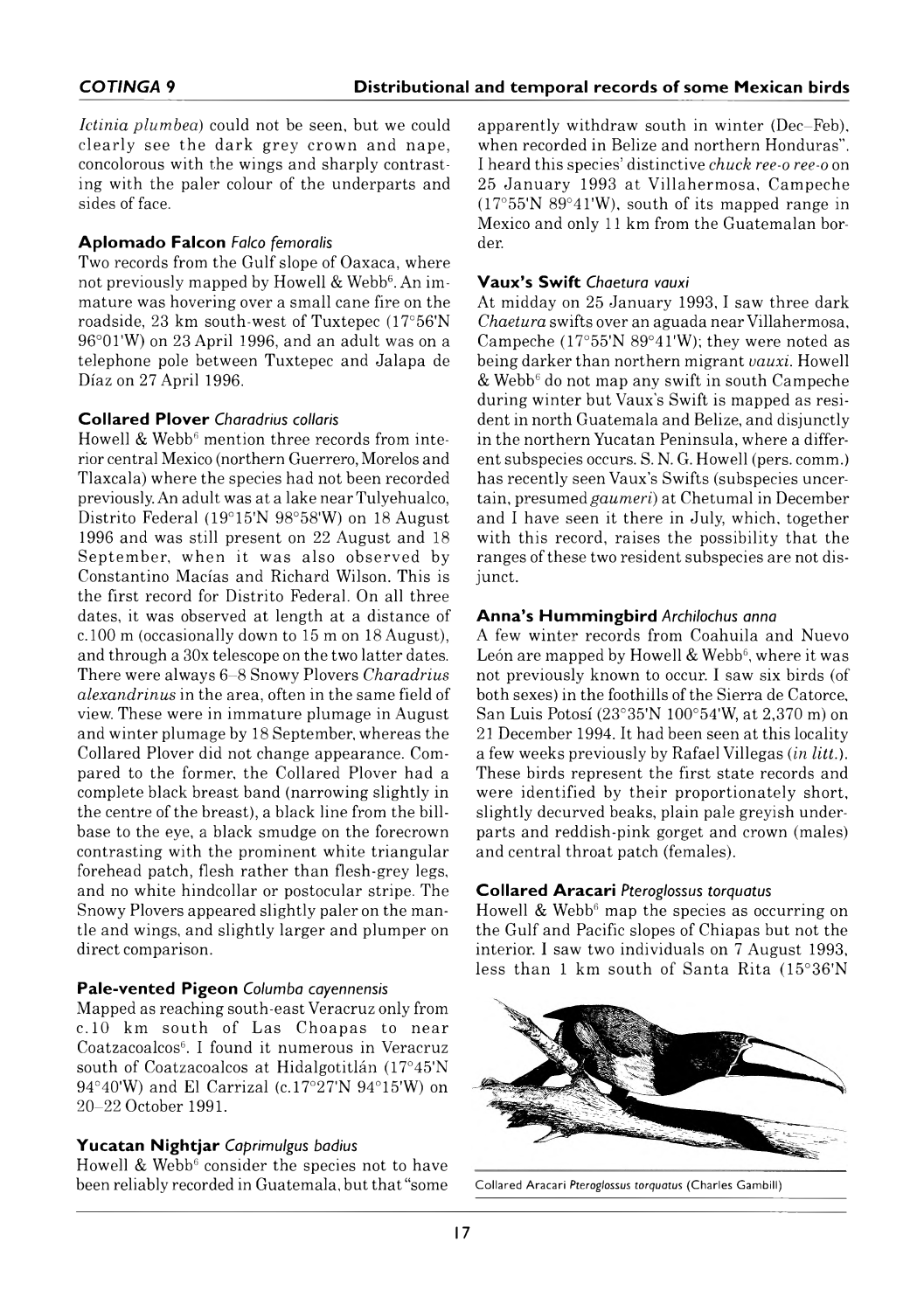*Ictinia plum bea*) could not be seen, but we could clearly see the dark grey crown and nape, concolorous with the wings and sharply contrasting with the paler colour of the underparts and sides of face.

#### **A p lo m a d o F alcon** *Falco femoralis*

Two records from the Gulf slope of Oaxaca, where not previously mapped by Howell & Webb<sup>6</sup>. An immature was hovering over a small cane fire on the roadside, 23 km south-west of Tuxtepec (17°56'N 96°01'W) on 23 April 1996, and an adult was on a telephone pole between Tuxtepec and Jalapa de Díaz on 27 April 1996.

#### **C o lla red P lo v e r** *Charadrius collaris*

Howell  $&$  Webb<sup>6</sup> mention three records from interior central Mexico (northern Guerrero, Morelos and Tlaxcala) where the species had not been recorded previously. An adult was at a lake near Tulyehualco, Distrito Federal (19°15'N 98°58'W) on 18 August 1996 and was still present on 22 August and 18 September, when it was also observed by Constantino Macias and Richard Wilson. This is the first record for Distrito Federal. On all three dates, it was observed at length at a distance of c. 100 m (occasionally down to 15 m on 18 August), and through a 30× telescope on the two latter dates. There were always 6–8 Snowy Plovers *Charadrius alexandrinus* in the area, often in the same field of view. These were in immature plumage in August and winter plumage by 18 September, whereas the Collared Plover did not change appearance. Compared to the former, the Collared Plover had a complete black breast band (narrowing slightly in the centre of the breast), a black line from the billbase to the eye, a black smudge on the forecrown contrasting with the prominent white triangular forehead patch, flesh rather than flesh-grey legs, and no white hindcollar or postocular stripe. The Snowy Plovers appeared slightly paler on the mantle and wings, and slightly larger and plumper on direct comparison.

#### **Pale-vented Pigeon** Columba cayennensis

Mapped as reaching south-east Veracruz only from c. 10 km south of Las Choapas to near Coatzacoalcos6. I found it numerous in Veracruz south of Coatzacoalcos at Hidalgotitlán (17°45'N  $94^{\circ}40'$ W) and El Carrizal (c.17°27'N  $94^{\circ}15'$ W) on 20–22 October 1991.

#### **Y u ca ta n N ig h tja r** *Caprimulgus badius*

Howell  $&$  Webb<sup>6</sup> consider the species not to have been reliably recorded in Guatemala, but that "some apparently withdraw south in winter (Dec–Feb), when recorded in Belize and northern Honduras". I heard this species' distinctive *chuck ree-o ree-o* on 25 January 1993 at Villahermosa, Campeche (17°55'N 89°41'W), south of its mapped range in Mexico and only 11 km from the Guatemalan border.

#### **V a u x 's S w ift** *Chaetura vauxi*

At midday on 25 January 1993, I saw three dark *Chaetura* swifts over an aguada near Villahermosa, Campeche (17°55'N 89°41'W); they were noted as being darker than northern migrant *vauxi.* Howell  $&$  Webb<sup>6</sup> do not map any swift in south Campeche during winter but Vaux's Swift is mapped as resident in north Guatemala and Belize, and disjunctly in the northern Yucatan Peninsula, where a different subspecies occurs. S. N. G. Howell (pers. comm.) has recently seen Vaux's Swifts (subspecies uncertain, presumed *gaumeri*) at Chetumal in December and I have seen it there in July, which, together with this record, raises the possibility that the ranges of these two resident subspecies are not disjunct.

#### **A n n a 's H u m m in g b ird** *Archilochus anna*

A few winter records from Coahuila and Nuevo León are mapped by Howell  $&$  Webb<sup>6</sup>, where it was not previously known to occur. I saw six birds (of both sexes) in the foothills of the Sierra de Catorce, San Luis Potosí (23°35'N 100°54'W, at 2,370 m) on 21 December 1994. It had been seen at this locality a few weeks previously by Rafael Villegas (*in litt.*). These birds represent the first state records and were identified by their proportionately short, slightly decurved beaks, plain pale greyish underparts and reddish-pink gorget and crown (males) and central throat patch (females).

#### **C o lla r e d A ra ca ri** *Pteroglossus torquatus*

Howell & Webb<sup>6</sup> map the species as occurring on the Gulf and Pacific slopes of Chiapas but not the interior. I saw two individuals on 7 August 1993, less than 1 km south of Santa Rita (15°36'N



C ollared A racari *Pteroglossus torquatus* (Charles Gambill)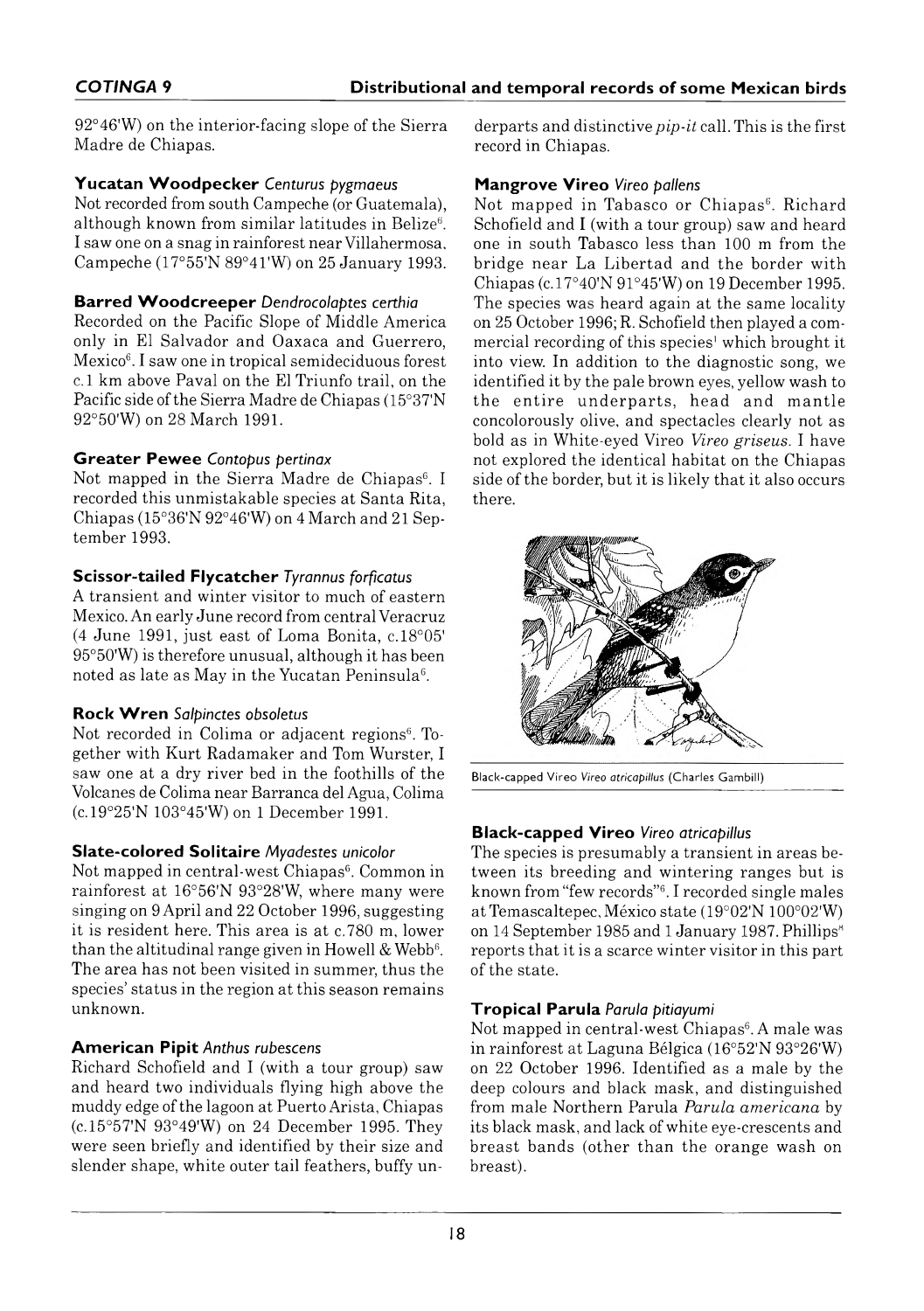92°46'W) on the interior-facing slope of the Sierra Madre de Chiapas.

#### Yucatan Woodpecker Centurus pygmaeus

Not recorded from south Campeche (or Guatemala), although known from similar latitudes in Belize $6$ . I saw one on a snag in rainforest near Villahermosa, Campeche (17°55'N 89°41'W) on 25 January 1993.

#### **Barred Woodcreeper** Dendrocolaptes certhia

Recorded on the Pacific Slope of Middle America only in El Salvador and Oaxaca and Guerrero, Mexico<sup>6</sup>. I saw one in tropical semideciduous forest c. 1 km above Pavai on the El Triunfo trail, on the Pacific side of the Sierra Madre de Chiapas (15°37'N 92°50'W) on 28 March 1991.

## **Greater Pewee** Contopus pertinax

Not mapped in the Sierra Madre de Chiapas<sup>6</sup>. I recorded this unmistakable species at Santa Rita, Chiapas (15°36'N 92°46'W) on 4 March and 21 September 1993.

## **Scissor-tailed Flycatcher Tyrannus forficatus**

A transient and winter visitor to much of eastern Mexico. An early June record from central Veracruz (4 June 1991, just east of Loma Bonita, c. 18°05' 95°50'W) is therefore unusual, although it has been noted as late as May in the Yucatan Peninsula<sup>6</sup>.

## **Rock Wren** Salpinctes obsoletus

Not recorded in Colima or adjacent regions<sup>6</sup>. Together with Kurt Radamaker and Tom Wurster, I saw one at a dry river bed in the foothills of the Volcanes de Colima near Barranca del Agua, Colima (c. 19°25'N 103°45'W) on 1 December 1991.

## **Slate-colored Solitaire** Myadestes unicolor

Not mapped in central-west Chiapas<sup>6</sup>. Common in rainforest at 16°56'N 93°28'W, where many were singing on 9 April and 22 October 1996, suggesting it is resident here. This area is at c. 780 m, lower than the altitudinal range given in Howell & Webb $6$ . The area has not been visited in summer, thus the species' status in the region at this season remains unknown.

# **American Pipit Anthus rubescens**

Richard Schofield and I (with a tour group) saw and heard two individuals flying high above the muddy edge of the lagoon at Puerto Arista, Chiapas (c. 15°57'N 93°49'W) on 24 December 1995. They were seen briefly and identified by their size and slender shape, white outer tail feathers, buffy underparts and distinctive *pip-it* call. This is the first record in Chiapas.

#### **Mangrove Vireo** Vireo pallens

Not mapped in Tabasco or Chiapas<sup>6</sup>. Richard Schofield and I (with a tour group) saw and heard one in south Tabasco less than 100 m from the bridge near La Libertad and the border with Chiapas (c. 17°40'N 91°45'W) on 19 December 1995. The species was heard again at the same locality on 25 October 1996; R. Schofield then played a commercial recording of this species' which brought it into view. In addition to the diagnostic song, we identified it by the pale brown eyes, yellow wash to the entire underparts, head and mantle concolorously olive, and spectacles clearly not as bold as in White-eyed Vireo *Vireo griseus.* I have not explored the identical habitat on the Chiapas side of the border, but it is likely that it also occurs there.



Black-capped Vireo Vireo atricapillus (Charles Gambill)

# **Black-capped Vireo** Vireo atricapillus

The species is presumably a transient in areas between its breeding and wintering ranges but is known from "few records"6. I recorded single males at Temascaltepec, México state (19°02'N 100°02'W) on 14 September 1985 and 1 January 1987. Phillips<sup>8</sup> reports that it is a scarce winter visitor in this part of the state.

## **T r o p ica l P aru la** *Parula pitiayumi*

Not mapped in central-west Chiapas<sup>6</sup>. A male was in rainforest at Laguna Bélgica (16°52'N 93°26'W) on 22 October 1996. Identified as a male by the deep colours and black mask, and distinguished from male Northern Parula *Parula americana* by its black mask, and lack of white eye-crescents and breast bands (other than the orange wash on breast).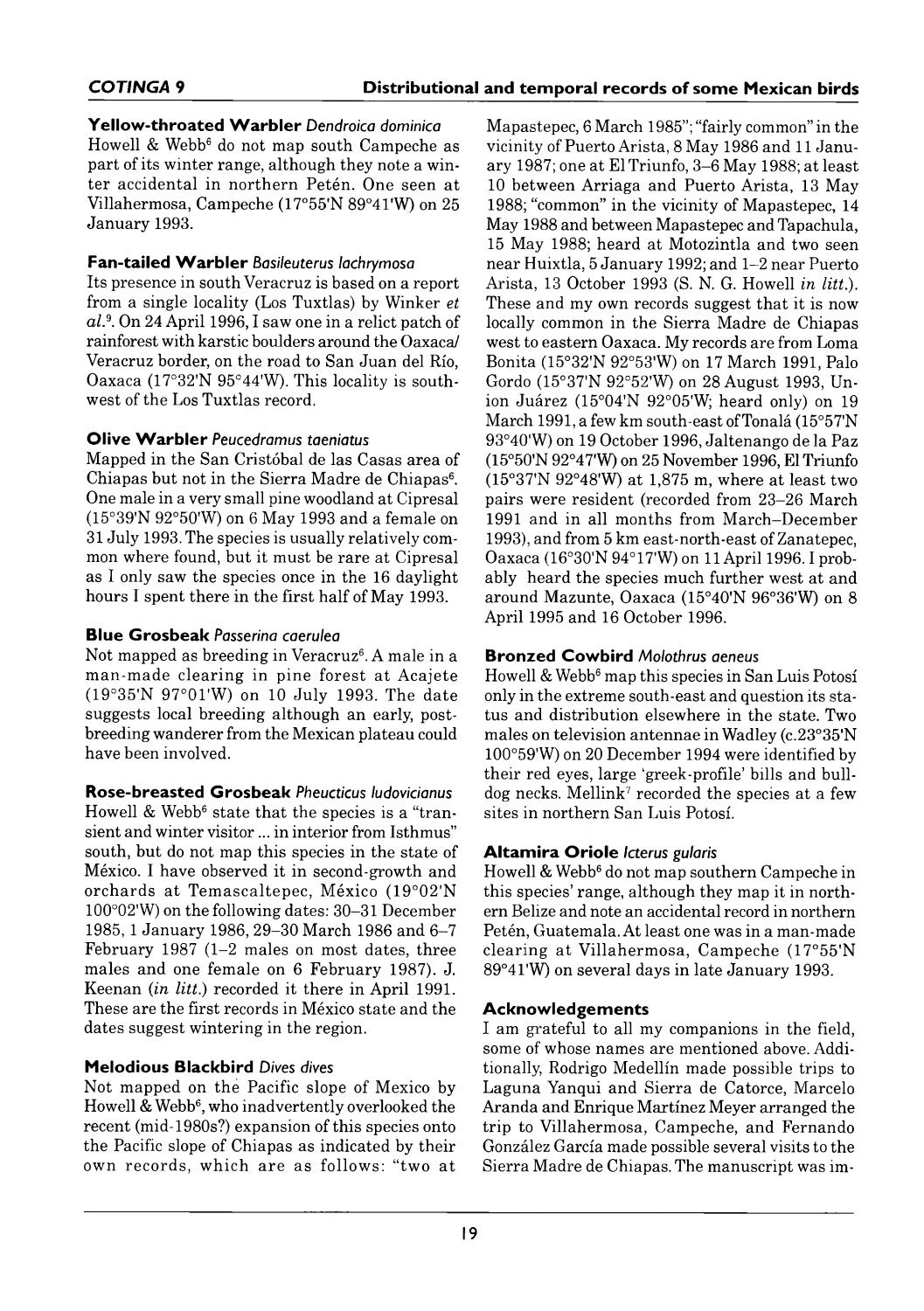# **Y e llo w -th r o a te d W a r b le r** *Dendroica dominica*

Howell & Webb<sup>6</sup> do not map south Campeche as part of its winter range, although they note a winter accidental in northern Petén. One seen at Villaherm osa, Campeche (17°55'N 89°41'W) on 25 January 1993.

# **Fan-tailed Warbler** Basileuterus lachrymosa

Its presence in south Veracruz is based on a report from a single locality (Los Tuxtlas) by Winker *et al.*9. On 24 April 1996, I saw one in a relict patch of rainforest with karstic boulders around the Oaxaca/ Veracruz border, on the road to San Juan del Río. Oaxaca (17°32'N 95°44'W). This locality is southwest of the Los Tuxtlas record.

## **Olive Warbler Peucedramus taeniatus**

Mapped in the San Cristóbal de las Casas area of Chiapas but not in the Sierra Madre de Chiapas<sup>6</sup>. One male in a very small pine woodland at Cipresal (15°39'N 92°50'W) on 6 May 1993 and a female on 31 July 1993. The species is usually relatively common where found, but it must be rare at Cipresal as I only saw the species once in the 16 daylight hours I spent there in the first half of May 1993.

# **Blue Grosbeak** Passerina caerulea

Not mapped as breeding in Veracruz<sup>6</sup>. A male in a man-made clearing in pine forest at Acajete  $(19°35'N 97°01'W)$  on 10 July 1993. The date suggests local breeding although an early, postbreeding wanderer from the Mexican plateau could have been involved.

## **R o se -b r e a ste d G r o sb e a k** *Pheucticus ludovicianus*

Howell & Webb<sup>6</sup> state that the species is a "transient and winter visitor ... in interior from Isthmus" south, but do not map this species in the state of México. I have observed it in second-growth and orchards at Temascaltepec, México (19°02'N  $100^{\circ}02'$ W) on the following dates: 30–31 December 1985, 1 January 1986, 29–30 March 1986 and 6–7 February 1987 (1-2 males on most dates, three males and one female on 6 February 1987). J. Keenan (*in litt.*) recorded it there in April 1991. These are the first records in México state and the dates suggest wintering in the region.

# **M elo d io u s B lackbird** *Dives dives*

Not mapped on the Pacific slope of Mexico by Howell & Webb<sup>6</sup>, who inadvertently overlooked the recent (mid-1980s?) expansion of this species onto the Pacific slope of Chiapas as indicated by their own records, which are as follows: "two at

Mapastepec, 6 March 1985"; "fairly common" in the vicinity of Puerto Arista, 8 May 1986 and 11 January 1987; one at El Triunfo, 3-6 May 1988; at least 10 between Arriaga and Puerto Arista, 13 May 1988; "common" in the vicinity of Mapastepec, 14 May 1988 and between Mapastepec and Tapachula, 15 May 1988; heard at Motozintla and two seen near Huixtla, 5 January 1992; and 1-2 near Puerto A rista, 13 October 1993 (S. N. G. Howell *in litt.*). These and my own records suggest that it is now locally common in the Sierra Madre de Chiapas west to eastern Oaxaca. My records are from Loma Bonita (15°32'N 92°53'W) on 17 March 1991, Palo Gordo (15°37'N 92°52'W) on 28 August 1993, Union Juárez (15°04'N 92°05'W; heard only) on 19 March 1991, a few km south-east of Tonalá  $(15°57'N)$ 93°40'W) on 19 October 1996, Jaltenango de la Paz (15°50'N 92°47'W) on 25 November 1996, El Triunfo  $(15°37'N 92°48'W)$  at 1,875 m, where at least two pairs were resident (recorded from 23-26 March 1991 and in all months from March-December 1993), and from 5 km east-north-east of Zanatepec, Oaxaca (16°30'N 94°17'W) on 11 April 1996. I probably heard the species much further west at and around Mazunte, Oaxaca (15°40'N 96°36'W) on 8 April 1995 and 16 October 1996.

# **Bronzed Cowbird Molothrus aeneus**

Howell & Webb<sup>6</sup> map this species in San Luis Potosí only in the extreme south-east and question its status and distribution elsewhere in the state. Two males on television antennae in Wadley (c.23°35'N 100°59'W) on 20 December 1994 were identified by their red eyes, large 'greek-profile' bills and bulldog necks. Mellink<sup>7</sup> recorded the species at a few sites in northern San Luis Potosí.

# **A lta m ir a O r io le** *Icterus gularis*

Howell & Webb<sup>6</sup> do not map southern Campeche in this species' range, although they map it in northern Belize and note an accidental record in northern Petén, Guatemala. At least one was in a man-made clearing at Villahermosa, Campeche (17°55'N 89°41'W) on several days in late January 1993.

# **Acknowledgements**

I am grateful to all my companions in the field, some of whose names are mentioned above. Additionally, Rodrigo Medellín made possible trips to Laguna Yanqui and Sierra de Catorce, Marcelo Aranda and Enrique Martínez Meyer arranged the trip to Villahermosa, Campeche, and Fernando González García made possible several visits to the Sierra Madre de Chiapas. The manuscript was im